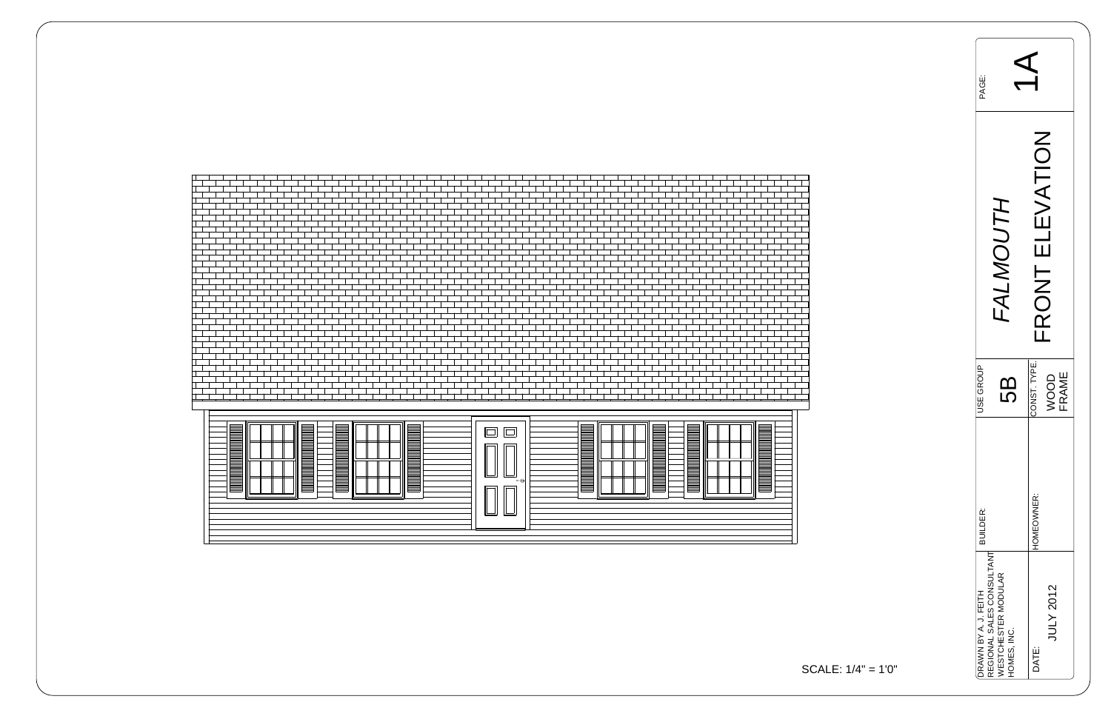



| PAGE:                |                                                                 |                    |  |
|----------------------|-----------------------------------------------------------------|--------------------|--|
|                      | <b>K</b>                                                        | ATIC<br>RONT       |  |
| JSE GROL             | 5                                                               | CONST. TYPE.       |  |
| <b>BUILDER:</b>      |                                                                 | HOMEOWNER:         |  |
| DRAWN BY A. J. FEITH | REGIONAL SALES CONSULTANT<br>WESTCHESTER MODULAR<br>HOMES, INC. | JULY 2012<br>DATE: |  |

$$
ALE: 1/4" = 1'0"
$$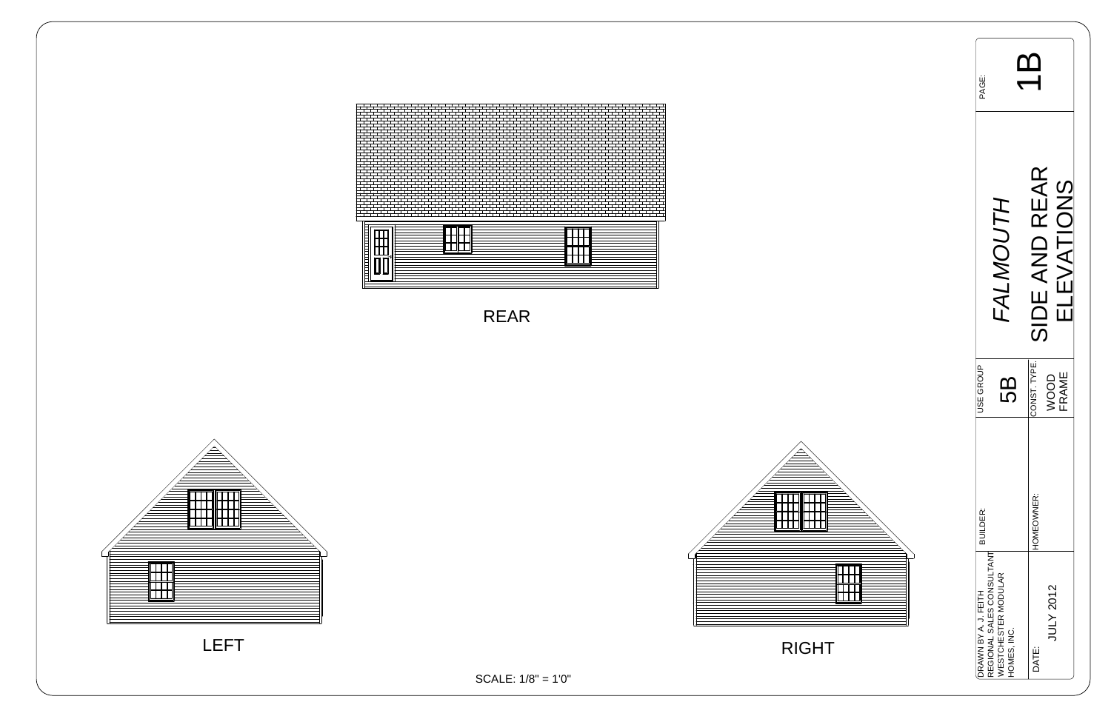| <b>PAGE:</b>                                      |                                                  |                                |  |
|---------------------------------------------------|--------------------------------------------------|--------------------------------|--|
|                                                   | /7∀_                                             | SIDE AND REAR<br><u>C</u><br>C |  |
| <b>JSE GROUP</b>                                  | 5                                                | CONST. TYPE.<br>OOD            |  |
| <b>BUILDER:</b>                                   |                                                  | HOMEOWNER:                     |  |
| REGIONAL SALES CONSULTANT<br>DRAWN BY A. J. FEITH | <b><i>NESTCHESTER MODULAR</i></b><br>HOMES, INC. | JULY 2012<br>DATE:             |  |





SCALE: 1/8" = 1'0"

RIGHT





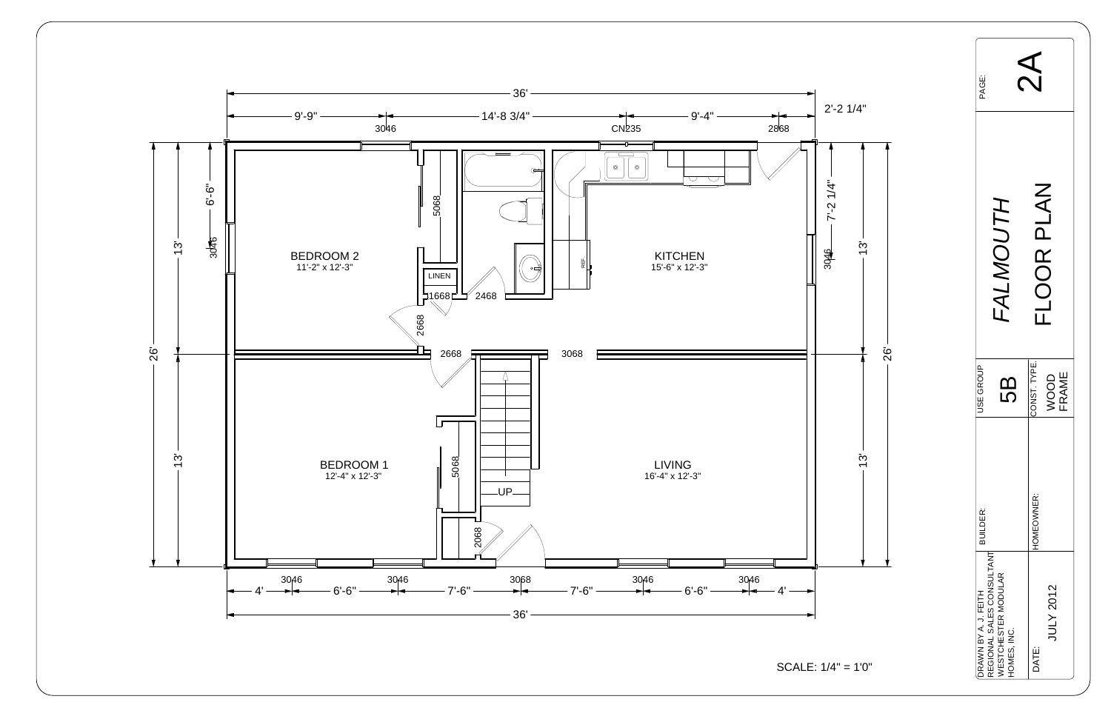